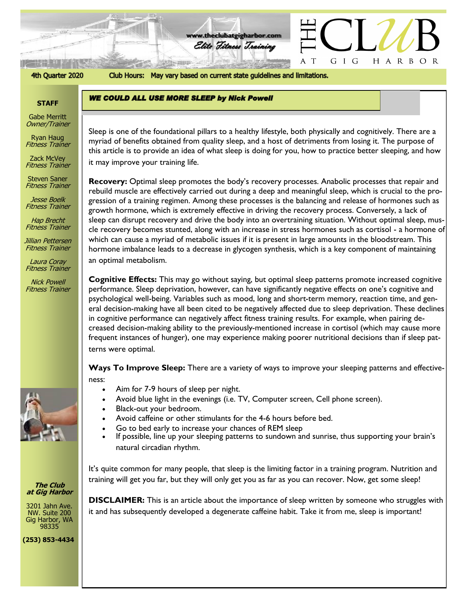

#### 4th Quarter 2020

Club Hours: May vary based on current state guidelines and limitations.

**WE COULD ALL USE MORE SLEEP by Nick Powell** 

**www.theclubatgigharbor.com**

Elite Fitness Training

### **STAFF**

Gabe Merritt Owner/Trainer

Ryan Haug Fitness Trainer

Zack McVey Fitness Trainer

Steven Saner Fitness Trainer

Jesse Boelk Fitness Trainer

Hap Brecht Fitness Trainer

Jillian Pettersen Fitness Trainer

Laura Coray Fitness Trainer

Nick Powell Fitness Trainer



**The Club at Gig Harbor**

3201 Jahn Ave. NW. Suite 200 Gig Harbor, WA 98335

**(253) 853-4434**

*The Clubb at Gig Harborical at Gig Harborical at Arborical at Arborical at Arborical at Arborical at Arborical A<br>This apticle is to applicable an idea of what close is dejug for you, how to appeties hetter close ing, and* Sleep is one of the foundational pillars to a healthy lifestyle, both physically and cognitively. There are a this article is to provide an idea of what sleep is doing for you, how to practice better sleeping, and how it may improve your training life.

**Recovery:** Optimal sleep promotes the body's recovery processes. Anabolic processes that repair and rebuild muscle are effectively carried out during a deep and meaningful sleep, which is crucial to the progression of a training regimen. Among these processes is the balancing and release of hormones such as growth hormone, which is extremely effective in driving the recovery process. Conversely, a lack of sleep can disrupt recovery and drive the body into an overtraining situation. Without optimal sleep, muscle recovery becomes stunted, along with an increase in stress hormones such as cortisol - a hormone of which can cause a myriad of metabolic issues if it is present in large amounts in the bloodstream. This hormone imbalance leads to a decrease in glycogen synthesis, which is a key component of maintaining an optimal metabolism.

**Cognitive Effects:** This may go without saying, but optimal sleep patterns promote increased cognitive performance. Sleep deprivation, however, can have significantly negative effects on one's cognitive and psychological well-being. Variables such as mood, long and short-term memory, reaction time, and general decision-making have all been cited to be negatively affected due to sleep deprivation. These declines in cognitive performance can negatively affect fitness training results. For example, when pairing decreased decision-making ability to the previously-mentioned increase in cortisol (which may cause more frequent instances of hunger), one may experience making poorer nutritional decisions than if sleep patterns were optimal.

**Ways To Improve Sleep:** There are a variety of ways to improve your sleeping patterns and effectiveness:

- Aim for 7-9 hours of sleep per night.
- Avoid blue light in the evenings (i.e. TV, Computer screen, Cell phone screen).
- Black-out your bedroom.
- Avoid caffeine or other stimulants for the 4-6 hours before bed.
- Go to bed early to increase your chances of REM sleep
- If possible, line up your sleeping patterns to sundown and sunrise, thus supporting your brain's natural circadian rhythm.

It's quite common for many people, that sleep is the limiting factor in a training program. Nutrition and training will get you far, but they will only get you as far as you can recover. Now, get some sleep!

**DISCLAIMER:** This is an article about the importance of sleep written by someone who struggles with it and has subsequently developed a degenerate caffeine habit. Take it from me, sleep is important!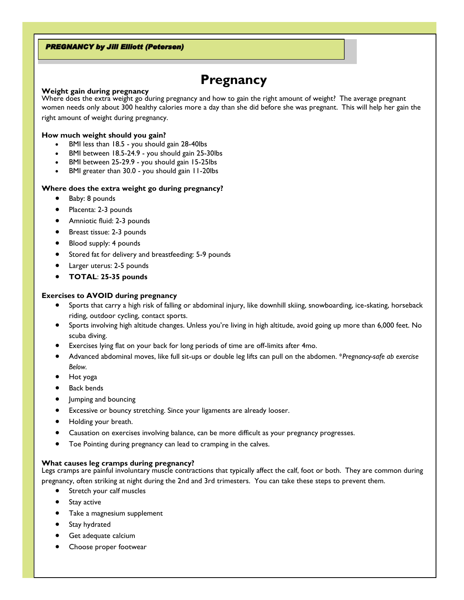# **PREGNANCY by Jill Elliott (Petersen)**

# **Pregnancy**

#### **Weight gain during pregnancy**

Where does the extra weight go during pregnancy and how to gain the right amount of weight? The average pregnant women needs only about 300 healthy calories more a day than she did before she was pregnant. This will help her gain the

right amount of weight during pregnancy.

#### **How much weight should you gain?**

- BMI less than 18.5 you should gain 28-40lbs
- BMI between 18.5-24.9 you should gain 25-30lbs
- BMI between 25-29.9 you should gain 15-25lbs
- BMI greater than 30.0 you should gain 11-20lbs

#### **Where does the extra weight go during pregnancy?**

- Baby: 8 pounds
- Placenta: 2-3 pounds
- Amniotic fluid: 2-3 pounds
- Breast tissue: 2-3 pounds
- Blood supply: 4 pounds
- Stored fat for delivery and breastfeeding: 5-9 pounds
- Larger uterus: 2-5 pounds
- **TOTAL**: **25-35 pounds**

## **Exercises to AVOID during pregnancy**

- Sports that carry a high risk of falling or abdominal injury, like downhill skiing, snowboarding, ice-skating, horseback riding, outdoor cycling, contact sports.
- Sports involving high altitude changes. Unless you're living in high altitude, avoid going up more than 6,000 feet. No scuba diving.
- Exercises lying flat on your back for long periods of time are off-limits after 4mo.
- Advanced abdominal moves, like full sit-ups or double leg lifts can pull on the abdomen. \**Pregnancy-safe ab exercise Below.*
- Hot yoga
- Back bends
- Jumping and bouncing
- Excessive or bouncy stretching. Since your ligaments are already looser.
- Holding your breath.
- Causation on exercises involving balance, can be more difficult as your pregnancy progresses.
- Toe Pointing during pregnancy can lead to cramping in the calves.

#### **What causes leg cramps during pregnancy?**

Legs cramps are painful involuntary muscle contractions that typically affect the calf, foot or both. They are common during pregnancy, often striking at night during the 2nd and 3rd trimesters. You can take these steps to prevent them.

- Stretch your calf muscles
- Stay active
- Take a magnesium supplement
- Stay hydrated
- Get adequate calcium
- Choose proper footwear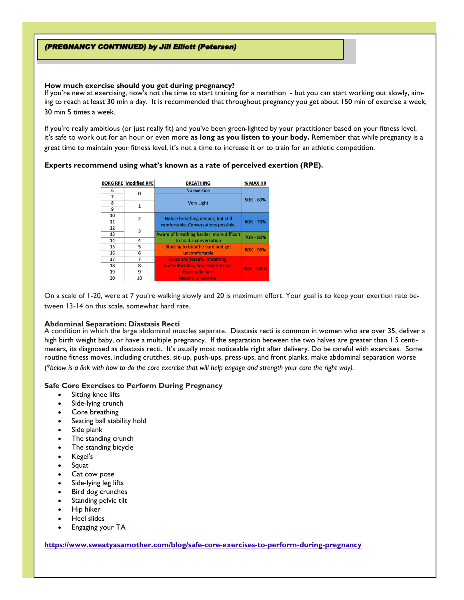# (PREGNANCY CONTINUED) by Jill Elliott (Petersen)

#### **How much exercise should you get during pregnancy?**

If you're new at exercising, now's not the time to start training for a marathon - but you can start working out slowly, aiming to reach at least 30 min a day. It is recommended that throughout pregnancy you get about 150 min of exercise a week, 30 min 5 times a week.

If you're really ambitious (or just really fit) and you've been green-lighted by your practitioner based on your fitness level, it's safe to work out for an hour or even more **as long as you listen to your body.** Remember that while pregnancy is a great time to maintain your fitness level, it's not a time to increase it or to train for an athletic competition.

## **Experts recommend using what's known as a rate of perceived exertion (RPE).**

|    | <b>BORG RPE Modified RPE</b> | <b>BREATHING</b>                                                           | % MAX HR       |
|----|------------------------------|----------------------------------------------------------------------------|----------------|
| 6  |                              | No exertion                                                                |                |
|    |                              | <b>Very Light</b>                                                          | 50% - 60%      |
| 8  | 1                            |                                                                            |                |
| 9  |                              |                                                                            |                |
| 10 | 2                            | Notice breathing deeper, but still<br>comfortable. Conversations possible. | 60% - 70%      |
| 11 |                              |                                                                            |                |
| 12 | 3                            |                                                                            |                |
| 13 |                              | Aware of breathing harder; more difficult                                  | 70% - 80%      |
| 14 | 4                            | to hold a conversation                                                     |                |
| 15 | 5                            | Starting to breathe hard and get                                           | $80\% - 90\%$  |
| 16 | 6                            | uncomfortable                                                              |                |
| 17 |                              | Deep and forceful breathing,                                               |                |
| 18 | 8                            | uncomfortable, don't want to talk                                          | $90\% - 100\%$ |
| 19 | 9                            | <b>Extremely hard</b>                                                      |                |
| 20 | 10                           | <b>Maximum exertion</b>                                                    |                |

On a scale of 1-20, were at 7 you're walking slowly and 20 is maximum effort. Your goal is to keep your exertion rate between 13-14 on this scale, somewhat hard rate.

#### **Abdominal Separation: Diastasis Recti**

A condition in which the large abdominal muscles separate. Diastasis recti is common in women who are over 35, deliver a high birth weight baby, or have a multiple pregnancy. If the separation between the two halves are greater than 1.5 centimeters, its diagnosed as diastasis recti. It's usually most noticeable right after delivery. Do be careful with exercises. Some routine fitness moves, including crutches, sit-up, push-ups, press-ups, and front planks, make abdominal separation worse (\**below is a link with how to do the core exercise that will help engage and strength your core the right way).* 

#### **Safe Core Exercises to Perform During Pregnancy**

- Sitting knee lifts
- Side-lying crunch
- Core breathing
- Seating ball stability hold
- Side plank
- The standing crunch
- The standing bicycle
- Kegel's
- Squat
- Cat cow pose
- Side-lying leg lifts
- Bird dog crunches
- Standing pelvic tilt
- Hip hiker
- Heel slides
- Engaging your TA

#### **<https://www.sweatyasamother.com/blog/safe-core-exercises-to-perform-during-pregnancy>**